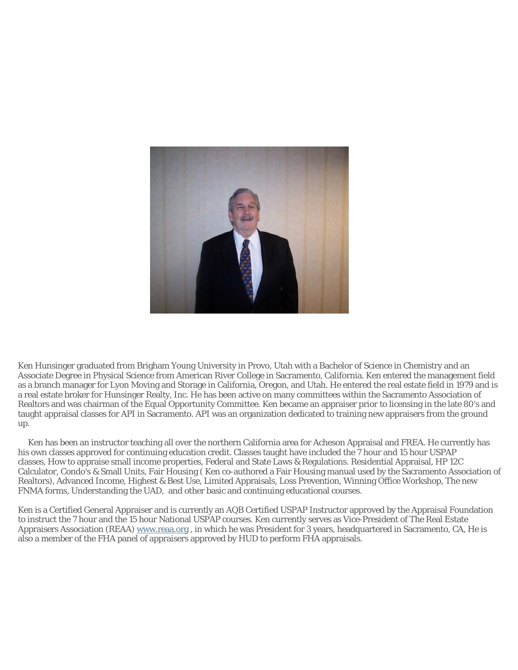

Ken Hunsinger graduated from Brigham Young University in Provo, Utah with a Bachelor of Science in Chemistry and an Associate Degree in Physical Science from American River College in Sacramento, California. Ken entered the management field as a branch manager for Lyon Moving and Storage in California, Oregon, and Utah. He entered the real estate field in 1979 and is a real estate broker for Hunsinger Realty, Inc. He has been active on many committees within the Sacramento Association of Realtors and was chairman of the Equal Opportunity Committee. Ken became an appraiser prior to licensing in the late 80's and taught appraisal classes for API in Sacramento. API was an organization dedicated to training new appraisers from the ground up.

 Ken has been an instructor teaching all over the northern California area for Acheson Appraisal and FREA. He currently has his own classes approved for continuing education credit. Classes taught have included the 7 hour and 15 hour USPAP classes, How to appraise small income properties, Federal and State Laws & Regulations. Residential Appraisal, HP 12C Calculator, Condo's & Small Units, Fair Housing ( Ken co-authored a Fair Housing manual used by the Sacramento Association of Realtors), Advanced Income, Highest & Best Use, Limited Appraisals, Loss Prevention, Winning Office Workshop, The new FNMA forms, Understanding the UAD, and other basic and continuing educational courses.

Ken is a Certified General Appraiser and is currently an AQB Certified USPAP Instructor approved by the Appraisal Foundation to instruct the 7 hour and the 15 hour National USPAP courses. Ken currently serves as Vice-President of The Real Estate Appraisers Association (REAA) www.reaa.org , in which he was President for 3 years, headquartered in Sacramento, CA, He is also a member of the FHA panel of appraisers approved by HUD to perform FHA appraisals.